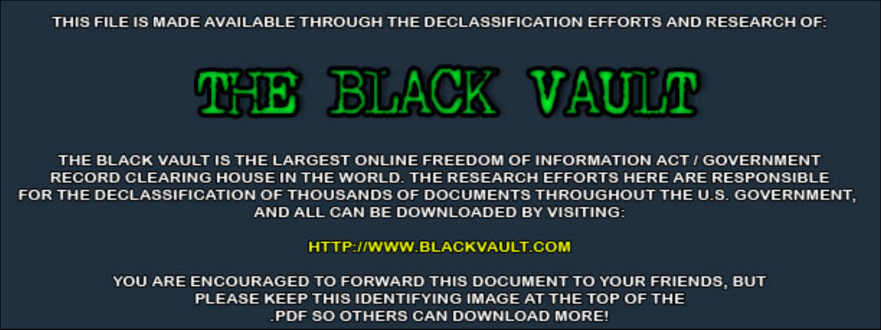THIS FILE IS MADE AVAILABLE THROUGH THE DECLASSIFICATION EFFORTS AND RESEARCH OF:



THE BLACK VAULT IS THE LARGEST ONLINE FREEDOM OF INFORMATION ACT / GOVERNMENT RECORD CLEARING HOUSE IN THE WORLD. THE RESEARCH EFFORTS HERE ARE RESPONSIBLE FOR THE DECLASSIFICATION OF THOUSANDS OF DOCUMENTS THROUGHOUT THE U.S. GOVERNMENT, AND ALL CAN BE DOWNLOADED BY VISITING:

**HTTP://WWW.BLACKVAULT.COM** 

YOU ARE ENCOURAGED TO FORWARD THIS DOCUMENT TO YOUR FRIENDS, BUT PLEASE KEEP THIS IDENTIFYING IMAGE AT THE TOP OF THE PDF SO OTHERS CAN DOWNLOAD MORE!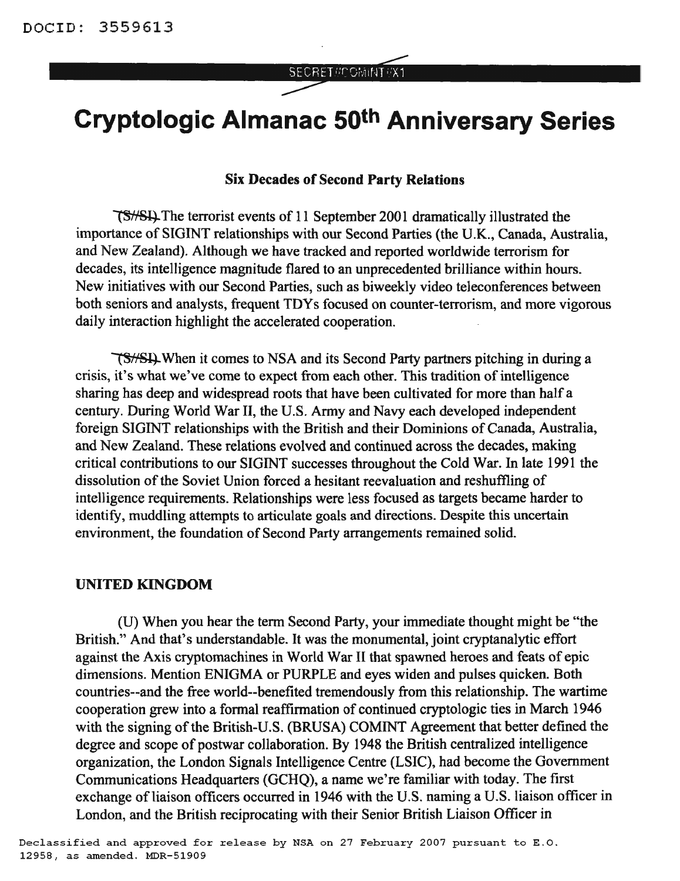# SECRET//COMINT/X1

# **Cryptologic Almanac 50th Anniversary Series**

### Six Decades of Second Party Relations

**TS**//SH. The terrorist events of 11 September 2001 dramatically illustrated the importance of SIGINT relationships with our Second Parties (the U.K., Canada, Australia, and New Zealand). Although we have tracked and reported worldwide terrorism for decades, its intelligence magnitude flared to an unprecedented brilliance within hours. New initiatives with our Second Parties, such as biweekly video teleconferences between both seniors and analysts, frequent TDYs focused on counter-terrorism, and more vigorous daily interaction highlight the accelerated cooperation.

When it comes to NSA and its Second Party partners pitching in during a crisis, it's what we've come to expect from each other. This tradition of intelligence sharing has deep and widespread roots that have been cultivated for more than half a century. During World War II, the U.S. Army and Navy each developed independent foreign SIGINT relationships with the British and their Dominions of Canada, Australia, and New Zealand. These relations evolved and continued across the decades, making critical contributions to our SIGINT successes throughout the Cold War. In late 1991 the dissolution of the Soviet Union forced a hesitant reevaluation and reshuffling of intelligence requirements. Relationships were less focused as targets became harder to identify, muddling attempts to articulate goals and directions. Despite this uncertain environment, the foundation of Second Party arrangements remained solid.

#### UNITED KINGDOM

(U) When you hear the term Second Party, your immediate thought might be "the British." And that's understandable. It was the monumental, joint cryptanalytic effort against the Axis cryptomachines in World War II that spawned heroes and feats of epic dimensions. Mention ENIGMA or PURPLE and eyes widen and pulses quicken. Both countries--and the free world--benefited tremendously from this relationship. The wartime cooperation grew into a formal reaffirmation of continued cryptologic ties in March 1946 with the signing of the British-U.S. (BRUSA) COMINT Agreement that better defined the degree and scope of postwar collaboration. By 1948 the British centralized intelligence organization, the London Signals Intelligence Centre (LSIC), had become the Government Communications Headquarters (GCHQ), a name we're familiar with today. The first exchange of liaison officers occurred in 1946 with the U.S. naming a U.S. liaison officer in London, and the British reciprocating with their Senior British Liaison Officer in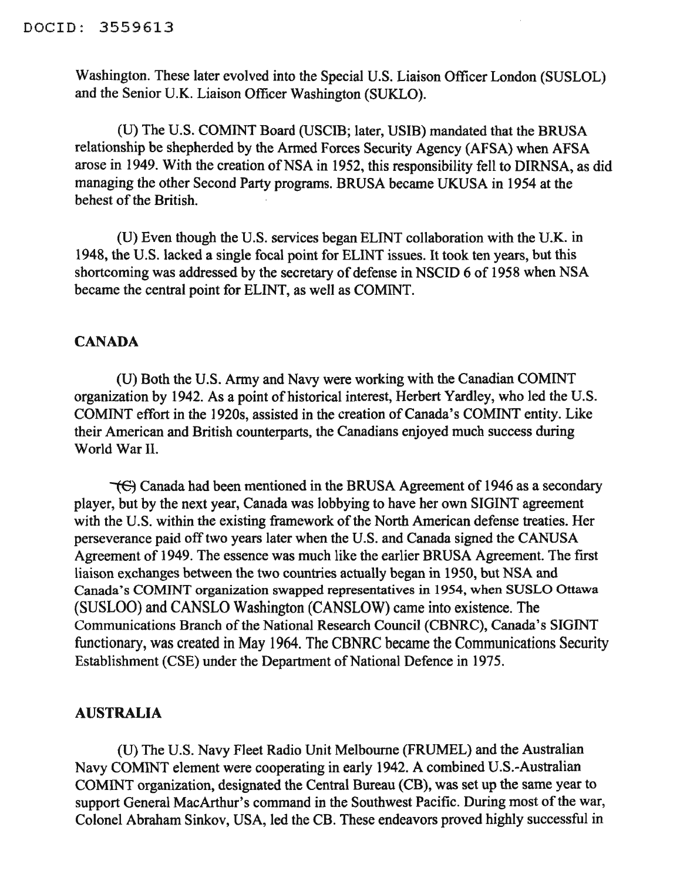Washington. These later evolved into the Special U.S. Liaison Officer London (SUSLOL) and the Senior U.K. Liaison Officer Washington (SUKLO).

(U) The U.S. COMINT Board (DSCIB; later, DSIB) mandated that the BRDSA relationship be shepherded by the Armed Forces Security Agency (AFSA) when AFSA arose in 1949. With the creation of NSA in 1952, this responsibility fell to DIRNSA, as did managing the other Second Party programs. BRUSA became UKUSA in 1954 at the behest of the British.

(D) Even though the U.S. services began ELINT collaboration with the U.K. in 1948, the D.S. lacked a single focal point for ELINT issues. It took ten years, but this shortcoming was addressed by the secretary of defense in NSCID 6 of 1958 when NSA became the central point for ELINT, as well as COMINT.

## **CANADA**

(U) Both the U.S. Army and Navy were working with the Canadian COMINT organization by 1942. As a point of historical interest, Herbert Yardley, who led the U.S. COMINT effort in the 1920s, assisted in the creation of Canada's COMINT entity. Like their American and British counterparts, the Canadians enjoyed much success during World War II.

"1€) Canada had been mentioned in the BRDSA Agreement of 1946 as a secondary player, but by the next year, Canada was lobbying to have her own SIGINT agreement with the U.S. within the existing framework of the North American defense treaties. Her perseverance paid off two years later when the U.S. and Canada signed the CANUSA Agreement of 1949. The essence was much like the earlier BRUSA Agreement. The first liaison exchanges between the two countries actually began in 1950, but NSA and Canada's COMINT organization swapped representatives in 1954, when SUSLO Ottawa (SUSLOO) and CANSLO Washington (CANSLOW) came into existence. The Communications Branch of the National Research Council (CBNRC), Canada's SIGINT functionary, was created in May 1964. The CBNRC became the Communications Security Establishment (CSE) under the Department of National Defence in 1975.

## AUSTRALIA

(D) The U.S. Navy Fleet Radio Unit Melbourne (FRUMEL) and the Australian Navy COMINT element were cooperating in early 1942. A combined U.S.-Australian COMINT organization, designated the Central Bureau (CB), was set up the same year to support General MacArthur's command in the Southwest Pacific. During most of the war, Colonel Abraham Sinkov, USA, led the CB. These endeavors proved highly successful in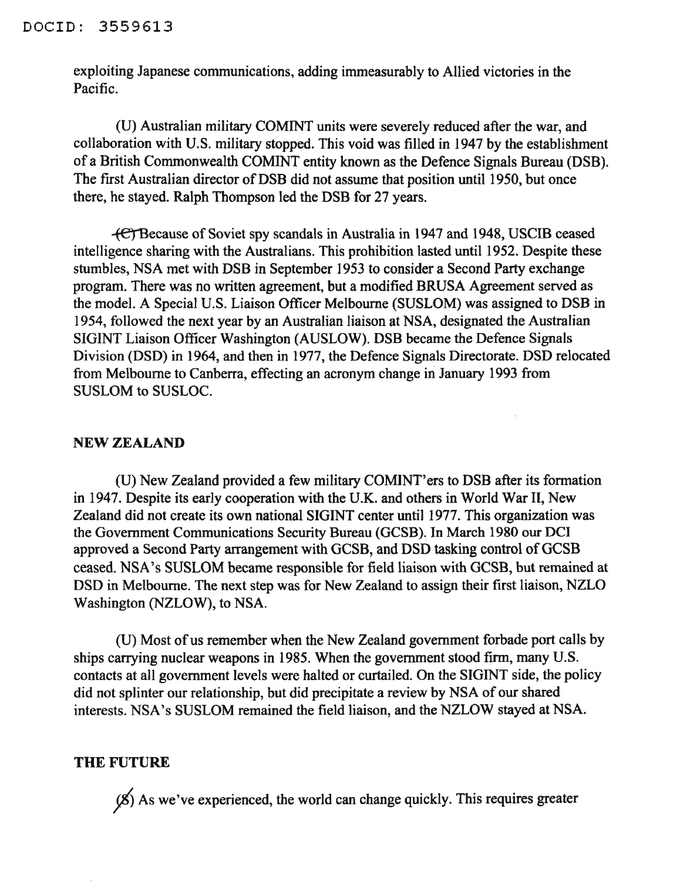exploiting Japanese communications, adding immeasurably to Allied victories in the Pacific.

(U) Australian military COMINT units were severely reduced after the war, and collaboration with U.S. military stopped. This void was filled in 1947 by the establishment of a British Commonwealth COMINT entity known as the Defence Signals Bureau (DSB). The first Australian director of DSB did not assume that position until 1950, but once there, he stayed. Ralph Thompson led the DSB for 27 years.

-ferBecause of Soviet spy scandals in Australia in 1947 and 1948, USCIB ceased intelligence sharing with the Australians. This prohibition lasted until 1952. Despite these stumbles, NSA met with DSB in September 1953 to consider a Second Party exchange program. There was no written agreement, but a modified BRUSA Agreement served as the model. A Special V.S. Liaison Officer Melbourne (SVSLOM) was assigned to DSB in 1954, followed the next year by an Australian liaison at NSA, designated the Australian SIGINT Liaison Officer Washington (AVSLOW). DSB became the Defence Signals Division (DSD) in 1964, and then in 1977, the Defence Signals Directorate. DSD relocated from Melbourne to Canberra, effecting an acronym change in January 1993 from SVSLOM to SUSLOC.

## NEW ZEALAND

(V) New Zealand provided a few military COMINT'ers to DSB after its fonnation in 1947. Despite its early cooperation with the V.K. and others in World War II, New Zealand did not create its own national SIGINT center until 1977. This organization was the Government Communications Security Bureau (GCSB). In March 1980 our DCI approved a Second Party arrangement with GCSB, and DSD tasking control of GCSB ceased. NSA's SUSLOM became responsible for field liaison with GCSB, but remained at DSD in Melbourne. The next step was for New Zealand to assign their first liaison, NZLO Washington (NZLOW), to NSA.

(U) Most of us remember when the New Zealand government forbade port calls by ships carrying nuclear weapons in 1985. When the government stood firm, many U.S. contacts at all government levels were halted or curtailed. On the SIGINT side, the policy did not splinter our relationship, but did precipitate a review by NSA of our shared interests. NSA's SVSLOM remained the field liaison, and the NZLOW stayed at NSA.

#### THE FUTURE

 $(8)$  As we've experienced, the world can change quickly. This requires greater